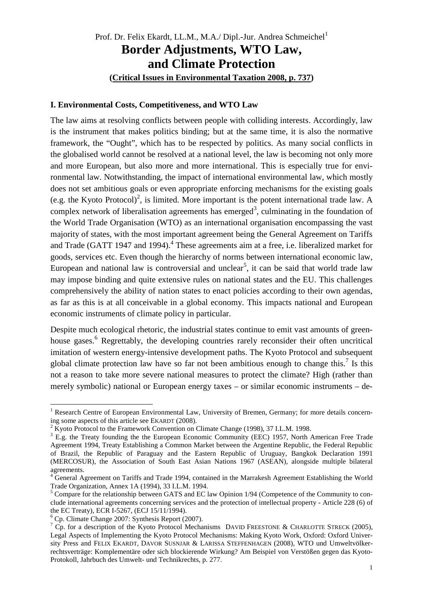# Prof. Dr. Felix Ekardt, LL.M., M.A./ Dipl.-Jur. Andrea Schmeichel<sup>1</sup> **Border Adjustments, WTO Law, and Climate Protection (Critical Issues in Environmental Taxation 2008, p. 737)**

### **I. Environmental Costs, Competitiveness, and WTO Law**

The law aims at resolving conflicts between people with colliding interests. Accordingly, law is the instrument that makes politics binding; but at the same time, it is also the normative framework, the "Ought", which has to be respected by politics. As many social conflicts in the globalised world cannot be resolved at a national level, the law is becoming not only more and more European, but also more and more international. This is especially true for environmental law. Notwithstanding, the impact of international environmental law, which mostly does not set ambitious goals or even appropriate enforcing mechanisms for the existing goals (e.g. the Kyoto Protocol)<sup>2</sup>, is limited. More important is the potent international trade law. A complex network of liberalisation agreements has emerged<sup>3</sup>, culminating in the foundation of the World Trade Organisation (WTO) as an international organisation encompassing the vast majority of states, with the most important agreement being the General Agreement on Tariffs and Trade (GATT 1947 and 1994).<sup>4</sup> These agreements aim at a free, i.e. liberalized market for goods, services etc. Even though the hierarchy of norms between international economic law, European and national law is controversial and unclear<sup>5</sup>, it can be said that world trade law may impose binding and quite extensive rules on national states and the EU. This challenges comprehensively the ability of nation states to enact policies according to their own agendas, as far as this is at all conceivable in a global economy. This impacts national and European economic instruments of climate policy in particular.

Despite much ecological rhetoric, the industrial states continue to emit vast amounts of greenhouse gases.<sup>6</sup> Regrettably, the developing countries rarely reconsider their often uncritical imitation of western energy-intensive development paths. The Kyoto Protocol and subsequent global climate protection law have so far not been ambitious enough to change this.<sup>7</sup> Is this not a reason to take more severe national measures to protect the climate? High (rather than merely symbolic) national or European energy taxes – or similar economic instruments – de-

<sup>&</sup>lt;sup>1</sup> Research Centre of European Environmental Law, University of Bremen, Germany; for more details concerning some aspects of this article see EKARDT (2008).

 $2 K$ yoto Protocol to the Framework Convention on Climate Change (1998), 37 I.L.M. 1998.

 $3$  E.g. the Treaty founding the the European Economic Community (EEC) 1957, North American Free Trade Agreement 1994, Treaty Establishing a Common Market between the Argentine Republic, the Federal Republic of Brazil, the Republic of Paraguay and the Eastern Republic of Uruguay, Bangkok Declaration 1991 (MERCOSUR), the Association of South East Asian Nations 1967 (ASEAN), alongside multiple bilateral agreements.

<sup>&</sup>lt;sup>4</sup> General Agreement on Tariffs and Trade 1994, contained in the Marrakesh Agreement Establishing the World Trade Organization, Annex 1A (1994), 33 I.L.M. 1994.

<sup>&</sup>lt;sup>5</sup> Compare for the relationship between GATS and EC law Opinion 1/94 (Competence of the Community to conclude international agreements concerning services and the protection of intellectual property - Article 228 (6) of the EC Treaty), ECR I-5267, (ECJ 15/11/1994).

<sup>6</sup> Cp. Climate Change 2007: Synthesis Report (2007).

<sup>&</sup>lt;sup>7</sup> Cp. for a description of the Kyoto Protocol Mechanisms DAVID FREESTONE & CHARLOTTE STRECK (2005), Legal Aspects of Implementing the Kyoto Protocol Mechanisms: Making Kyoto Work, Oxford: Oxford University Press and FELIX EKARDT, DAVOR SUSNJAR & LARISSA STEFFENHAGEN (2008), WTO und Umweltvölkerrechtsverträge: Komplementäre oder sich blockierende Wirkung? Am Beispiel von Verstößen gegen das Kyoto-Protokoll, Jahrbuch des Umwelt- und Technikrechts, p. 277.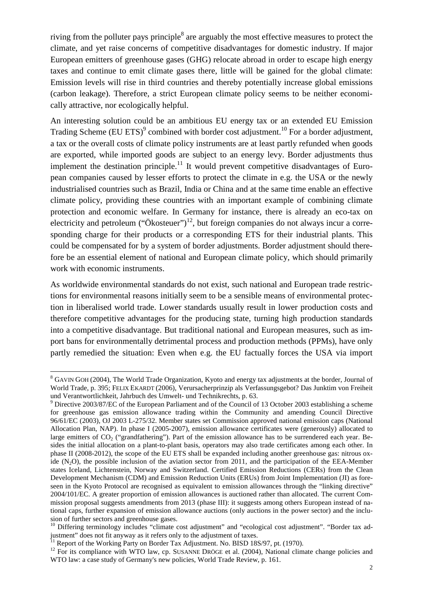riving from the polluter pays principle<sup>8</sup> are arguably the most effective measures to protect the climate, and yet raise concerns of competitive disadvantages for domestic industry. If major European emitters of greenhouse gases (GHG) relocate abroad in order to escape high energy taxes and continue to emit climate gases there, little will be gained for the global climate: Emission levels will rise in third countries and thereby potentially increase global emissions (carbon leakage). Therefore, a strict European climate policy seems to be neither economically attractive, nor ecologically helpful.

An interesting solution could be an ambitious EU energy tax or an extended EU Emission Trading Scheme (EU ETS)<sup>9</sup> combined with border cost adjustment.<sup>10</sup> For a border adjustment, a tax or the overall costs of climate policy instruments are at least partly refunded when goods are exported, while imported goods are subject to an energy levy. Border adjustments thus implement the destination principle.<sup>11</sup> It would prevent competitive disadvantages of European companies caused by lesser efforts to protect the climate in e.g. the USA or the newly industrialised countries such as Brazil, India or China and at the same time enable an effective climate policy, providing these countries with an important example of combining climate protection and economic welfare. In Germany for instance, there is already an eco-tax on electricity and petroleum ("Ökosteuer")<sup>12</sup>, but foreign companies do not always incur a corresponding charge for their products or a corresponding ETS for their industrial plants. This could be compensated for by a system of border adjustments. Border adjustment should therefore be an essential element of national and European climate policy, which should primarily work with economic instruments.

As worldwide environmental standards do not exist, such national and European trade restrictions for environmental reasons initially seem to be a sensible means of environmental protection in liberalised world trade. Lower standards usually result in lower production costs and therefore competitive advantages for the producing state, turning high production standards into a competitive disadvantage. But traditional national and European measures, such as import bans for environmentally detrimental process and production methods (PPMs), have only partly remedied the situation: Even when e.g. the EU factually forces the USA via import

<sup>&</sup>lt;sup>8</sup> GAVIN GOH (2004), The World Trade Organization, Kyoto and energy tax adjustments at the border, Journal of World Trade, p. 395; FELIX EKARDT (2006), Verursacherprinzip als Verfassungsgebot? Das Junktim von Freiheit und Verantwortlichkeit, Jahrbuch des Umwelt- und Technikrechts, p. 63.

 $9$  Directive 2003/87/EC of the European Parliament and of the Council of 13 October 2003 establishing a scheme for greenhouse gas emission allowance trading within the Community and amending Council Directive 96/61/EC (2003), OJ 2003 L-275/32. Member states set Commission approved national emission caps (National Allocation Plan, NAP). In phase I (2005-2007), emission allowance certificates were (generously) allocated to large emitters of  $CO<sub>2</sub>$  ("grandfathering"). Part of the emission allowance has to be surrendered each year. Besides the initial allocation on a plant-to-plant basis, operators may also trade certificates among each other. In phase II (2008-2012), the scope of the EU ETS shall be expanded including another greenhouse gas: nitrous oxide  $(N_2O)$ , the possible inclusion of the aviation sector from 2011, and the participation of the EEA-Member states Iceland, Lichtenstein, Norway and Switzerland. Certified Emission Reductions (CERs) from the Clean Development Mechanism (CDM) and Emission Reduction Units (ERUs) from Joint Implementation (JI) as foreseen in the Kyoto Protocol are recognised as equivalent to emission allowances through the "linking directive" 2004/101/EC. A greater proportion of emission allowances is auctioned rather than allocated. The current Commission proposal suggests amendments from 2013 (phase III): it suggests among others European instead of national caps, further expansion of emission allowance auctions (only auctions in the power sector) and the inclusion of further sectors and greenhouse gases.

<sup>&</sup>lt;sup>10</sup> Differing terminology includes "climate cost adjustment" and "ecological cost adjustment". "Border tax adjustment" does not fit anyway as it refers only to the adjustment of taxes.

Report of the Working Party on Border Tax Adjustment. No. BISD 18S/97, pt. (1970).

<sup>&</sup>lt;sup>12</sup> For its compliance with WTO law, cp. SUSANNE DRÖGE et al. (2004), National climate change policies and WTO law: a case study of Germany's new policies, World Trade Review, p. 161.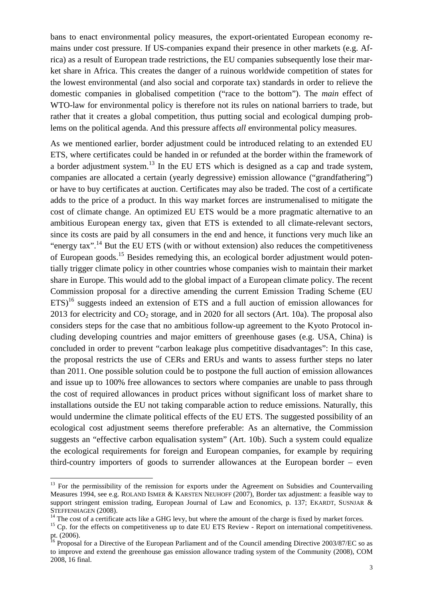bans to enact environmental policy measures, the export-orientated European economy remains under cost pressure. If US-companies expand their presence in other markets (e.g. Africa) as a result of European trade restrictions, the EU companies subsequently lose their market share in Africa. This creates the danger of a ruinous worldwide competition of states for the lowest environmental (and also social and corporate tax) standards in order to relieve the domestic companies in globalised competition ("race to the bottom"). The *main* effect of WTO-law for environmental policy is therefore not its rules on national barriers to trade, but rather that it creates a global competition, thus putting social and ecological dumping problems on the political agenda. And this pressure affects *all* environmental policy measures.

As we mentioned earlier, border adjustment could be introduced relating to an extended EU ETS, where certificates could be handed in or refunded at the border within the framework of a border adjustment system.<sup>13</sup> In the EU ETS which is designed as a cap and trade system, companies are allocated a certain (yearly degressive) emission allowance ("grandfathering") or have to buy certificates at auction. Certificates may also be traded. The cost of a certificate adds to the price of a product. In this way market forces are instrumenalised to mitigate the cost of climate change. An optimized EU ETS would be a more pragmatic alternative to an ambitious European energy tax, given that ETS is extended to all climate-relevant sectors, since its costs are paid by all consumers in the end and hence, it functions very much like an "energy tax".<sup>14</sup> But the EU ETS (with or without extension) also reduces the competitiveness of European goods.<sup>15</sup> Besides remedying this, an ecological border adjustment would potentially trigger climate policy in other countries whose companies wish to maintain their market share in Europe. This would add to the global impact of a European climate policy. The recent Commission proposal for a directive amending the current Emission Trading Scheme (EU  $ETS$ <sup>16</sup> suggests indeed an extension of ETS and a full auction of emission allowances for 2013 for electricity and  $CO<sub>2</sub>$  storage, and in 2020 for all sectors (Art. 10a). The proposal also considers steps for the case that no ambitious follow-up agreement to the Kyoto Protocol including developing countries and major emitters of greenhouse gases (e.g. USA, China) is concluded in order to prevent "carbon leakage plus competitive disadvantages": In this case, the proposal restricts the use of CERs and ERUs and wants to assess further steps no later than 2011. One possible solution could be to postpone the full auction of emission allowances and issue up to 100% free allowances to sectors where companies are unable to pass through the cost of required allowances in product prices without significant loss of market share to installations outside the EU not taking comparable action to reduce emissions. Naturally, this would undermine the climate political effects of the EU ETS. The suggested possibility of an ecological cost adjustment seems therefore preferable: As an alternative, the Commission suggests an "effective carbon equalisation system" (Art. 10b). Such a system could equalize the ecological requirements for foreign and European companies, for example by requiring third-country importers of goods to surrender allowances at the European border – even

<sup>&</sup>lt;sup>13</sup> For the permissibility of the remission for exports under the Agreement on Subsidies and Countervailing Measures 1994, see e.g. ROLAND ISMER & KARSTEN NEUHOFF (2007), Border tax adjustment: a feasible way to support stringent emission trading, European Journal of Law and Economics, p. 137; EKARDT, SUSNJAR & STEFFENHAGEN (2008).

 $14$  The cost of a certificate acts like a GHG levy, but where the amount of the charge is fixed by market forces.

<sup>&</sup>lt;sup>15</sup> Cp. for the effects on competitiveness up to date EU ETS Review - Report on international competitiveness. pt. (2006).

<sup>&</sup>lt;sup>16</sup> Proposal for a Directive of the European Parliament and of the Council amending Directive 2003/87/EC so as to improve and extend the greenhouse gas emission allowance trading system of the Community (2008), COM 2008, 16 final.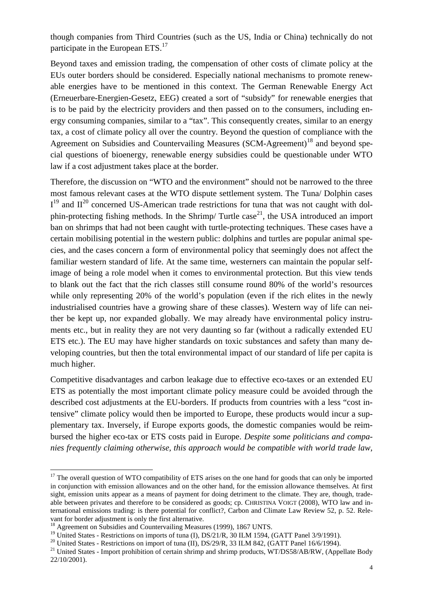though companies from Third Countries (such as the US, India or China) technically do not participate in the European ETS.<sup>17</sup>

Beyond taxes and emission trading, the compensation of other costs of climate policy at the EUs outer borders should be considered. Especially national mechanisms to promote renewable energies have to be mentioned in this context. The German Renewable Energy Act (Erneuerbare-Energien-Gesetz, EEG) created a sort of "subsidy" for renewable energies that is to be paid by the electricity providers and then passed on to the consumers, including energy consuming companies, similar to a "tax". This consequently creates, similar to an energy tax, a cost of climate policy all over the country. Beyond the question of compliance with the Agreement on Subsidies and Countervailing Measures (SCM-Agreement)<sup>18</sup> and beyond special questions of bioenergy, renewable energy subsidies could be questionable under WTO law if a cost adjustment takes place at the border.

Therefore, the discussion on "WTO and the environment" should not be narrowed to the three most famous relevant cases at the WTO dispute settlement system. The Tuna/ Dolphin cases  $I<sup>19</sup>$  and  $II<sup>20</sup>$  concerned US-American trade restrictions for tuna that was not caught with dolphin-protecting fishing methods. In the Shrimp/ Turtle case<sup>21</sup>, the USA introduced an import ban on shrimps that had not been caught with turtle-protecting techniques. These cases have a certain mobilising potential in the western public: dolphins and turtles are popular animal species, and the cases concern a form of environmental policy that seemingly does not affect the familiar western standard of life. At the same time, westerners can maintain the popular selfimage of being a role model when it comes to environmental protection. But this view tends to blank out the fact that the rich classes still consume round 80% of the world's resources while only representing 20% of the world's population (even if the rich elites in the newly industrialised countries have a growing share of these classes). Western way of life can neither be kept up, nor expanded globally. We may already have environmental policy instruments etc., but in reality they are not very daunting so far (without a radically extended EU ETS etc.). The EU may have higher standards on toxic substances and safety than many developing countries, but then the total environmental impact of our standard of life per capita is much higher.

Competitive disadvantages and carbon leakage due to effective eco-taxes or an extended EU ETS as potentially the most important climate policy measure could be avoided through the described cost adjustments at the EU-borders. If products from countries with a less "cost intensive" climate policy would then be imported to Europe, these products would incur a supplementary tax. Inversely, if Europe exports goods, the domestic companies would be reimbursed the higher eco-tax or ETS costs paid in Europe. *Despite some politicians and companies frequently claiming otherwise, this approach would be compatible with world trade law,* 

 $17$  The overall question of WTO compatibility of ETS arises on the one hand for goods that can only be imported in conjunction with emission allowances and on the other hand, for the emission allowance themselves. At first sight, emission units appear as a means of payment for doing detriment to the climate. They are, though, tradeable between privates and therefore to be considered as goods; cp. CHRISTINA VOIGT (2008), WTO law and international emissions trading: is there potential for conflict?, Carbon and Climate Law Review 52, p. 52. Relevant for border adjustment is only the first alternative.

<sup>&</sup>lt;sup>18</sup> Agreement on Subsidies and Countervailing Measures (1999), 1867 UNTS.

<sup>&</sup>lt;sup>19</sup> United States - Restrictions on imports of tuna (I), DS/21/R, 30 ILM 1594, (GATT Panel 3/9/1991).

<sup>&</sup>lt;sup>20</sup> United States - Restrictions on import of tuna (II), DS/29/R, 33 ILM 842, (GATT Panel 16/6/1994).

<sup>&</sup>lt;sup>21</sup> United States - Import prohibition of certain shrimp and shrimp products, WT/DS58/AB/RW, (Appellate Body 22/10/2001).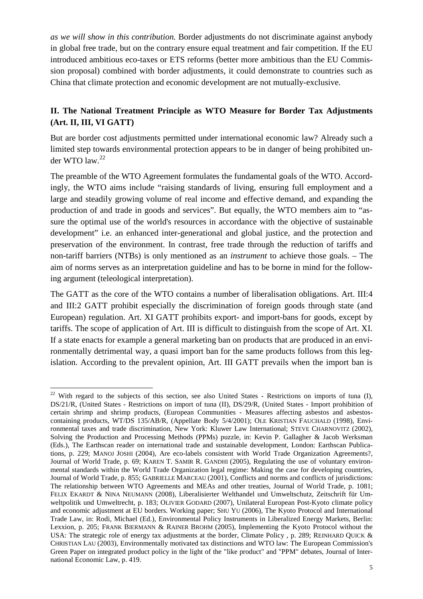*as we will show in this contribution.* Border adjustments do not discriminate against anybody in global free trade, but on the contrary ensure equal treatment and fair competition. If the EU introduced ambitious eco-taxes or ETS reforms (better more ambitious than the EU Commission proposal) combined with border adjustments, it could demonstrate to countries such as China that climate protection and economic development are not mutually-exclusive.

## **II. The National Treatment Principle as WTO Measure for Border Tax Adjustments (Art. II, III, VI GATT)**

But are border cost adjustments permitted under international economic law? Already such a limited step towards environmental protection appears to be in danger of being prohibited under WTO law.<sup>22</sup>

The preamble of the WTO Agreement formulates the fundamental goals of the WTO. Accordingly, the WTO aims include "raising standards of living, ensuring full employment and a large and steadily growing volume of real income and effective demand, and expanding the production of and trade in goods and services". But equally, the WTO members aim to "assure the optimal use of the world's resources in accordance with the objective of sustainable development" i.e. an enhanced inter-generational and global justice, and the protection and preservation of the environment. In contrast, free trade through the reduction of tariffs and non-tariff barriers (NTBs) is only mentioned as an *instrument* to achieve those goals. – The aim of norms serves as an interpretation guideline and has to be borne in mind for the following argument (teleological interpretation).

The GATT as the core of the WTO contains a number of liberalisation obligations. Art. III:4 and III:2 GATT prohibit especially the discrimination of foreign goods through state (and European) regulation. Art. XI GATT prohibits export- and import-bans for goods, except by tariffs. The scope of application of Art. III is difficult to distinguish from the scope of Art. XI. If a state enacts for example a general marketing ban on products that are produced in an environmentally detrimental way, a quasi import ban for the same products follows from this legislation. According to the prevalent opinion, Art. III GATT prevails when the import ban is

 $\overline{a}$  $22$  With regard to the subjects of this section, see also United States - Restrictions on imports of tuna (I), DS/21/R, (United States - Restrictions on import of tuna (II), DS/29/R, (United States - Import prohibition of certain shrimp and shrimp products, (European Communities - Measures affecting asbestos and asbestoscontaining products, WT/DS 135/AB/R, (Appellate Body 5/4/2001); OLE KRISTIAN FAUCHALD (1998), Environmental taxes and trade discrimination, New York: Kluwer Law International; STEVE CHARNOVITZ (2002), Solving the Production and Processing Methods (PPMs) puzzle, in: Kevin P. Gallagher & Jacob Werksman (Eds.), The Earthscan reader on international trade and sustainable development, London: Earthscan Publications, p. 229; MANOJ JOSHI (2004), Are eco-labels consistent with World Trade Organization Agreements?, Journal of World Trade, p. 69; KAREN T. SAMIR R. GANDHI (2005), Regulating the use of voluntary environmental standards within the World Trade Organization legal regime: Making the case for developing countries, Journal of World Trade, p. 855; GABRIELLE MARCEAU (2001), Conflicts and norms and conflicts of jurisdictions: The relationship between WTO Agreements and MEAs and other treaties, Journal of World Trade, p. 1081; FELIX EKARDT & NINA NEUMANN (2008), Liberalisierter Welthandel und Umweltschutz, Zeitschrift für Umweltpolitik und Umweltrecht, p. 183; OLIVIER GODARD (2007), Unilateral European Post-Kyoto climate policy and economic adjustment at EU borders. Working paper; SHU YU (2006), The Kyoto Protocol and International Trade Law, in: Rodi, Michael (Ed.), Environmental Policy Instruments in Liberalized Energy Markets, Berlin: Lexxion, p. 205; FRANK BIERMANN & RAINER BROHM (2005), Implementing the Kyoto Protocol without the USA: The strategic role of energy tax adjustments at the border, Climate Policy , p. 289; REINHARD QUICK & CHRISTIAN LAU (2003), Environmentally motivated tax distinctions and WTO law: The European Commission's Green Paper on integrated product policy in the light of the "like product" and "PPM" debates, Journal of International Economic Law, p. 419.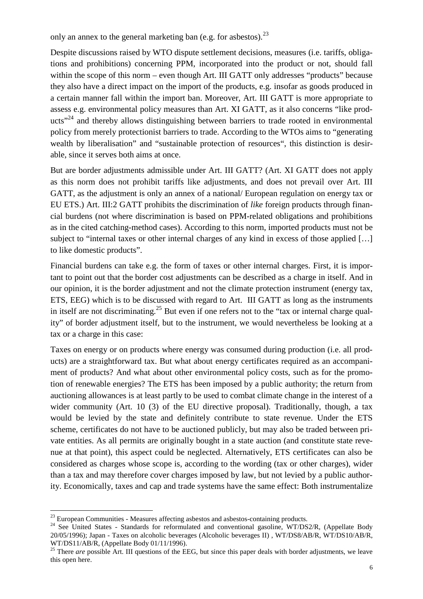only an annex to the general marketing ban (e.g. for asbestos).  $2<sup>3</sup>$ 

Despite discussions raised by WTO dispute settlement decisions, measures (i.e. tariffs, obligations and prohibitions) concerning PPM, incorporated into the product or not, should fall within the scope of this norm – even though Art. III GATT only addresses "products" because they also have a direct impact on the import of the products, e.g. insofar as goods produced in a certain manner fall within the import ban. Moreover, Art. III GATT is more appropriate to assess e.g. environmental policy measures than Art. XI GATT, as it also concerns "like products<sup>"24</sup> and thereby allows distinguishing between barriers to trade rooted in environmental policy from merely protectionist barriers to trade. According to the WTOs aims to "generating wealth by liberalisation" and "sustainable protection of resources", this distinction is desirable, since it serves both aims at once.

But are border adjustments admissible under Art. III GATT? (Art. XI GATT does not apply as this norm does not prohibit tariffs like adjustments, and does not prevail over Art. III GATT, as the adjustment is only an annex of a national/ European regulation on energy tax or EU ETS.) Art. III:2 GATT prohibits the discrimination of *like* foreign products through financial burdens (not where discrimination is based on PPM-related obligations and prohibitions as in the cited catching-method cases). According to this norm, imported products must not be subject to "internal taxes or other internal charges of any kind in excess of those applied […] to like domestic products".

Financial burdens can take e.g. the form of taxes or other internal charges. First, it is important to point out that the border cost adjustments can be described as a charge in itself. And in our opinion, it is the border adjustment and not the climate protection instrument (energy tax, ETS, EEG) which is to be discussed with regard to Art. III GATT as long as the instruments in itself are not discriminating.<sup>25</sup> But even if one refers not to the "tax or internal charge quality" of border adjustment itself, but to the instrument, we would nevertheless be looking at a tax or a charge in this case:

Taxes on energy or on products where energy was consumed during production (i.e. all products) are a straightforward tax. But what about energy certificates required as an accompaniment of products? And what about other environmental policy costs, such as for the promotion of renewable energies? The ETS has been imposed by a public authority; the return from auctioning allowances is at least partly to be used to combat climate change in the interest of a wider community (Art. 10 (3) of the EU directive proposal). Traditionally, though, a tax would be levied by the state and definitely contribute to state revenue. Under the ETS scheme, certificates do not have to be auctioned publicly, but may also be traded between private entities. As all permits are originally bought in a state auction (and constitute state revenue at that point), this aspect could be neglected. Alternatively, ETS certificates can also be considered as charges whose scope is, according to the wording (tax or other charges), wider than a tax and may therefore cover charges imposed by law, but not levied by a public authority. Economically, taxes and cap and trade systems have the same effect: Both instrumentalize

 $\overline{a}$  $23$  European Communities - Measures affecting asbestos and asbestos-containing products.

<sup>&</sup>lt;sup>24</sup> See United States - Standards for reformulated and conventional gasoline, WT/DS2/R, (Appellate Body 20/05/1996); Japan - Taxes on alcoholic beverages (Alcoholic beverages II) , WT/DS8/AB/R, WT/DS10/AB/R, WT/DS11/AB/R, (Appellate Body 01/11/1996).

<sup>&</sup>lt;sup>25</sup> There *are* possible Art. III questions of the EEG, but since this paper deals with border adjustments, we leave this open here.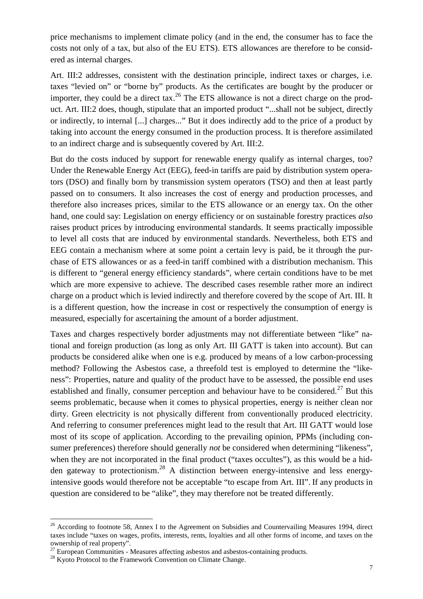price mechanisms to implement climate policy (and in the end, the consumer has to face the costs not only of a tax, but also of the EU ETS). ETS allowances are therefore to be considered as internal charges.

Art. III:2 addresses, consistent with the destination principle, indirect taxes or charges, i.e. taxes "levied on" or "borne by" products. As the certificates are bought by the producer or importer, they could be a direct tax.<sup>26</sup> The ETS allowance is not a direct charge on the product. Art. III:2 does, though, stipulate that an imported product "...shall not be subject, directly or indirectly, to internal [...] charges..." But it does indirectly add to the price of a product by taking into account the energy consumed in the production process. It is therefore assimilated to an indirect charge and is subsequently covered by Art. III:2.

But do the costs induced by support for renewable energy qualify as internal charges, too? Under the Renewable Energy Act (EEG), feed-in tariffs are paid by distribution system operators (DSO) and finally born by transmission system operators (TSO) and then at least partly passed on to consumers. It also increases the cost of energy and production processes, and therefore also increases prices, similar to the ETS allowance or an energy tax. On the other hand, one could say: Legislation on energy efficiency or on sustainable forestry practices *also* raises product prices by introducing environmental standards. It seems practically impossible to level all costs that are induced by environmental standards. Nevertheless, both ETS and EEG contain a mechanism where at some point a certain levy is paid, be it through the purchase of ETS allowances or as a feed-in tariff combined with a distribution mechanism. This is different to "general energy efficiency standards", where certain conditions have to be met which are more expensive to achieve. The described cases resemble rather more an indirect charge on a product which is levied indirectly and therefore covered by the scope of Art. III. It is a different question, how the increase in cost or respectively the consumption of energy is measured, especially for ascertaining the amount of a border adjustment.

Taxes and charges respectively border adjustments may not differentiate between "like" national and foreign production (as long as only Art. III GATT is taken into account). But can products be considered alike when one is e.g. produced by means of a low carbon-processing method? Following the Asbestos case, a threefold test is employed to determine the "likeness": Properties, nature and quality of the product have to be assessed, the possible end uses established and finally, consumer perception and behaviour have to be considered.<sup>27</sup> But this seems problematic, because when it comes to physical properties, energy is neither clean nor dirty. Green electricity is not physically different from conventionally produced electricity. And referring to consumer preferences might lead to the result that Art. III GATT would lose most of its scope of application. According to the prevailing opinion, PPMs (including consumer preferences) therefore should generally *not* be considered when determining "likeness", when they are not incorporated in the final product ("taxes occultes"), as this would be a hidden gateway to protectionism.<sup>28</sup> A distinction between energy-intensive and less energyintensive goods would therefore not be acceptable "to escape from Art. III". If any products in question are considered to be "alike", they may therefore not be treated differently.

<sup>&</sup>lt;sup>26</sup> According to footnote 58, Annex I to the Agreement on Subsidies and Countervailing Measures 1994, direct taxes include "taxes on wages, profits, interests, rents, loyalties and all other forms of income, and taxes on the ownership of real property".

 $27$  European Communities - Measures affecting asbestos and asbestos-containing products.

<sup>&</sup>lt;sup>28</sup> Kyoto Protocol to the Framework Convention on Climate Change.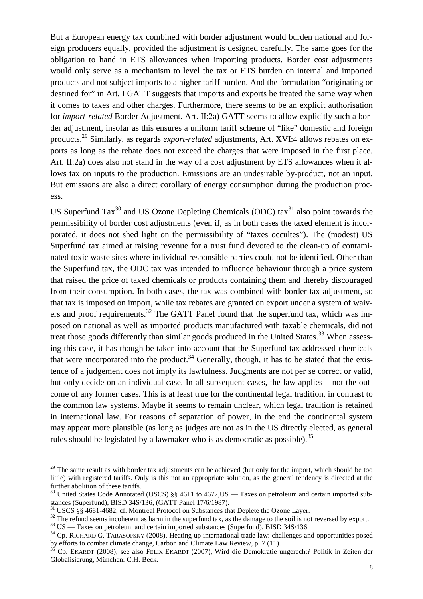But a European energy tax combined with border adjustment would burden national and foreign producers equally, provided the adjustment is designed carefully. The same goes for the obligation to hand in ETS allowances when importing products. Border cost adjustments would only serve as a mechanism to level the tax or ETS burden on internal and imported products and not subject imports to a higher tariff burden. And the formulation "originating or destined for" in Art. I GATT suggests that imports and exports be treated the same way when it comes to taxes and other charges. Furthermore, there seems to be an explicit authorisation for *import-related* Border Adjustment. Art. II:2a) GATT seems to allow explicitly such a border adjustment, insofar as this ensures a uniform tariff scheme of "like" domestic and foreign products.<sup>29</sup> Similarly, as regards *export-related* adjustments, Art. XVI:4 allows rebates on exports as long as the rebate does not exceed the charges that were imposed in the first place. Art. II:2a) does also not stand in the way of a cost adjustment by ETS allowances when it allows tax on inputs to the production. Emissions are an undesirable by-product, not an input. But emissions are also a direct corollary of energy consumption during the production process.

US Superfund  $\text{Tax}^{30}$  and US Ozone Depleting Chemicals (ODC) tax<sup>31</sup> also point towards the permissibility of border cost adjustments (even if, as in both cases the taxed element is incorporated, it does not shed light on the permissibility of "taxes occultes"). The (modest) US Superfund tax aimed at raising revenue for a trust fund devoted to the clean-up of contaminated toxic waste sites where individual responsible parties could not be identified. Other than the Superfund tax, the ODC tax was intended to influence behaviour through a price system that raised the price of taxed chemicals or products containing them and thereby discouraged from their consumption. In both cases, the tax was combined with border tax adjustment, so that tax is imposed on import, while tax rebates are granted on export under a system of waivers and proof requirements. $32$  The GATT Panel found that the superfund tax, which was imposed on national as well as imported products manufactured with taxable chemicals, did not treat those goods differently than similar goods produced in the United States.<sup>33</sup> When assessing this case, it has though be taken into account that the Superfund tax addressed chemicals that were incorporated into the product.<sup>34</sup> Generally, though, it has to be stated that the existence of a judgement does not imply its lawfulness. Judgments are not per se correct or valid, but only decide on an individual case. In all subsequent cases, the law applies – not the outcome of any former cases. This is at least true for the continental legal tradition, in contrast to the common law systems. Maybe it seems to remain unclear, which legal tradition is retained in international law. For reasons of separation of power, in the end the continental system may appear more plausible (as long as judges are not as in the US directly elected, as general rules should be legislated by a lawmaker who is as democratic as possible).<sup>35</sup>

 $29$  The same result as with border tax adjustments can be achieved (but only for the import, which should be too little) with registered tariffs. Only is this not an appropriate solution, as the general tendency is directed at the further abolition of these tariffs.

<sup>&</sup>lt;sup>30</sup> United States Code Annotated (USCS) §§ 4611 to 4672, US — Taxes on petroleum and certain imported substances (Superfund), BISD 34S/136, (GATT Panel 17/6/1987).

<sup>&</sup>lt;sup>31</sup> USCS §§ 4681-4682, cf. Montreal Protocol on Substances that Deplete the Ozone Layer.

<sup>&</sup>lt;sup>32</sup> The refund seems incoherent as harm in the superfund tax, as the damage to the soil is not reversed by export.

<sup>&</sup>lt;sup>33</sup> US — Taxes on petroleum and certain imported substances (Superfund), BISD 34S/136.

<sup>&</sup>lt;sup>34</sup> Cp. RICHARD G. TARASOFSKY (2008), Heating up international trade law: challenges and opportunities posed by efforts to combat climate change, Carbon and Climate Law Review, p. 7 (11).

<sup>35</sup> Cp. EKARDT (2008); see also FELIX EKARDT (2007), Wird die Demokratie ungerecht? Politik in Zeiten der Globalisierung, München: C.H. Beck.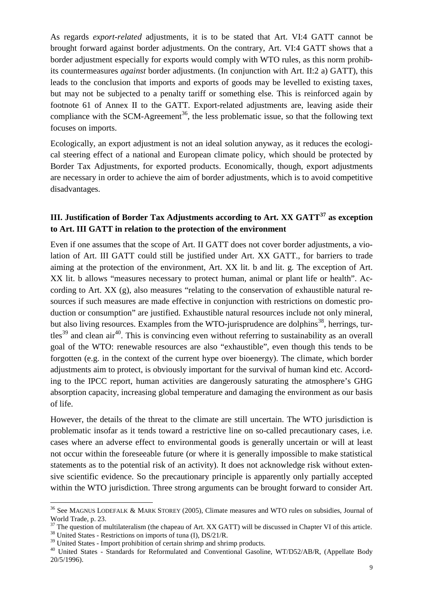As regards *export-related* adjustments, it is to be stated that Art. VI:4 GATT cannot be brought forward against border adjustments. On the contrary, Art. VI:4 GATT shows that a border adjustment especially for exports would comply with WTO rules, as this norm prohibits countermeasures *against* border adjustments. (In conjunction with Art. II:2 a) GATT), this leads to the conclusion that imports and exports of goods may be levelled to existing taxes, but may not be subjected to a penalty tariff or something else. This is reinforced again by footnote 61 of Annex II to the GATT. Export-related adjustments are, leaving aside their compliance with the SCM-Agreement<sup>36</sup>, the less problematic issue, so that the following text focuses on imports.

Ecologically, an export adjustment is not an ideal solution anyway, as it reduces the ecological steering effect of a national and European climate policy, which should be protected by Border Tax Adjustments, for exported products. Economically, though, export adjustments are necessary in order to achieve the aim of border adjustments, which is to avoid competitive disadvantages.

## **III. Justification of Border Tax Adjustments according to Art. XX GATT<sup>37</sup> as exception to Art. III GATT in relation to the protection of the environment**

Even if one assumes that the scope of Art. II GATT does not cover border adjustments, a violation of Art. III GATT could still be justified under Art. XX GATT., for barriers to trade aiming at the protection of the environment, Art. XX lit. b and lit. g. The exception of Art. XX lit. b allows "measures necessary to protect human, animal or plant life or health". According to Art. XX (g), also measures "relating to the conservation of exhaustible natural resources if such measures are made effective in conjunction with restrictions on domestic production or consumption" are justified. Exhaustible natural resources include not only mineral, but also living resources. Examples from the WTO-jurisprudence are dolphins<sup>38</sup>, herrings, tur $tles<sup>39</sup>$  and clean air<sup>40</sup>. This is convincing even without referring to sustainability as an overall goal of the WTO: renewable resources are also "exhaustible", even though this tends to be forgotten (e.g. in the context of the current hype over bioenergy). The climate, which border adjustments aim to protect, is obviously important for the survival of human kind etc. According to the IPCC report, human activities are dangerously saturating the atmosphere's GHG absorption capacity, increasing global temperature and damaging the environment as our basis of life.

However, the details of the threat to the climate are still uncertain. The WTO jurisdiction is problematic insofar as it tends toward a restrictive line on so-called precautionary cases, i.e. cases where an adverse effect to environmental goods is generally uncertain or will at least not occur within the foreseeable future (or where it is generally impossible to make statistical statements as to the potential risk of an activity). It does not acknowledge risk without extensive scientific evidence. So the precautionary principle is apparently only partially accepted within the WTO jurisdiction. Three strong arguments can be brought forward to consider Art.

<sup>36</sup> See MAGNUS LODEFALK & MARK STOREY (2005), Climate measures and WTO rules on subsidies, Journal of World Trade, p. 23.

 $37$  The question of multilateralism (the chapeau of Art. XX GATT) will be discussed in Chapter VI of this article. <sup>38</sup> United States - Restrictions on imports of tuna (I), DS/21/R.

<sup>&</sup>lt;sup>39</sup> United States - Import prohibition of certain shrimp and shrimp products.

<sup>&</sup>lt;sup>40</sup> United States - Standards for Reformulated and Conventional Gasoline, WT/D52/AB/R, (Appellate Body 20/5/1996).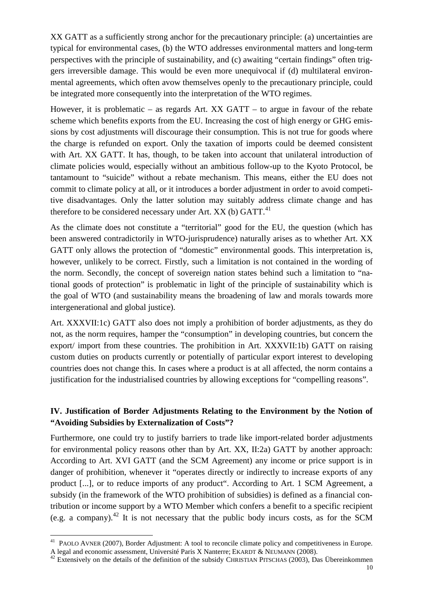XX GATT as a sufficiently strong anchor for the precautionary principle: (a) uncertainties are typical for environmental cases, (b) the WTO addresses environmental matters and long-term perspectives with the principle of sustainability, and (c) awaiting "certain findings" often triggers irreversible damage. This would be even more unequivocal if (d) multilateral environmental agreements, which often avow themselves openly to the precautionary principle, could be integrated more consequently into the interpretation of the WTO regimes.

However, it is problematic – as regards Art. XX GATT – to argue in favour of the rebate scheme which benefits exports from the EU. Increasing the cost of high energy or GHG emissions by cost adjustments will discourage their consumption. This is not true for goods where the charge is refunded on export. Only the taxation of imports could be deemed consistent with Art. XX GATT. It has, though, to be taken into account that unilateral introduction of climate policies would, especially without an ambitious follow-up to the Kyoto Protocol, be tantamount to "suicide" without a rebate mechanism. This means, either the EU does not commit to climate policy at all, or it introduces a border adjustment in order to avoid competitive disadvantages. Only the latter solution may suitably address climate change and has therefore to be considered necessary under Art.  $XX$  (b)  $GATT<sup>41</sup>$ .

As the climate does not constitute a "territorial" good for the EU, the question (which has been answered contradictorily in WTO-jurisprudence) naturally arises as to whether Art. XX GATT only allows the protection of "domestic" environmental goods. This interpretation is, however, unlikely to be correct. Firstly, such a limitation is not contained in the wording of the norm. Secondly, the concept of sovereign nation states behind such a limitation to "national goods of protection" is problematic in light of the principle of sustainability which is the goal of WTO (and sustainability means the broadening of law and morals towards more intergenerational and global justice).

Art. XXXVII:1c) GATT also does not imply a prohibition of border adjustments, as they do not, as the norm requires, hamper the "consumption" in developing countries, but concern the export/ import from these countries. The prohibition in Art. XXXVII:1b) GATT on raising custom duties on products currently or potentially of particular export interest to developing countries does not change this. In cases where a product is at all affected, the norm contains a justification for the industrialised countries by allowing exceptions for "compelling reasons".

## **IV. Justification of Border Adjustments Relating to the Environment by the Notion of "Avoiding Subsidies by Externalization of Costs"?**

Furthermore, one could try to justify barriers to trade like import-related border adjustments for environmental policy reasons other than by Art. XX, II:2a) GATT by another approach: According to Art. XVI GATT (and the SCM Agreement) any income or price support is in danger of prohibition, whenever it "operates directly or indirectly to increase exports of any product [...], or to reduce imports of any product". According to Art. 1 SCM Agreement, a subsidy (in the framework of the WTO prohibition of subsidies) is defined as a financial contribution or income support by a WTO Member which confers a benefit to a specific recipient (e.g. a company).<sup>42</sup> It is not necessary that the public body incurs costs, as for the SCM

 $\overline{a}$ <sup>41</sup> PAOLO AVNER (2007), Border Adjustment: A tool to reconcile climate policy and competitiveness in Europe. A legal and economic assessment, Université Paris X Nanterre; EKARDT & NEUMANN (2008).

 $42$  Extensively on the details of the definition of the subsidy CHRISTIAN PITSCHAS (2003), Das Übereinkommen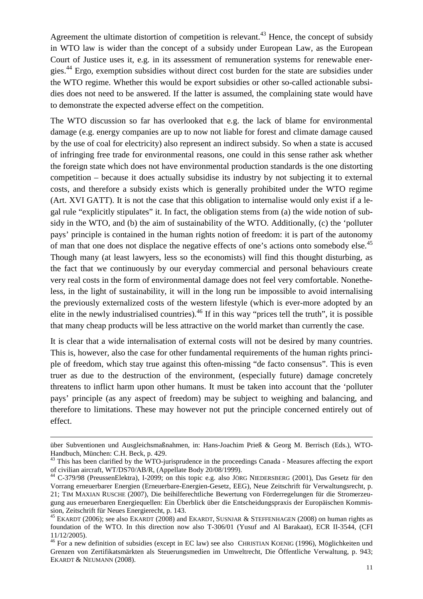Agreement the ultimate distortion of competition is relevant.<sup>43</sup> Hence, the concept of subsidy in WTO law is wider than the concept of a subsidy under European Law, as the European Court of Justice uses it, e.g. in its assessment of remuneration systems for renewable energies.<sup>44</sup> Ergo, exemption subsidies without direct cost burden for the state are subsidies under the WTO regime. Whether this would be export subsidies or other so-called actionable subsidies does not need to be answered. If the latter is assumed, the complaining state would have to demonstrate the expected adverse effect on the competition.

The WTO discussion so far has overlooked that e.g. the lack of blame for environmental damage (e.g. energy companies are up to now not liable for forest and climate damage caused by the use of coal for electricity) also represent an indirect subsidy. So when a state is accused of infringing free trade for environmental reasons, one could in this sense rather ask whether the foreign state which does not have environmental production standards is the one distorting competition – because it does actually subsidise its industry by not subjecting it to external costs, and therefore a subsidy exists which is generally prohibited under the WTO regime (Art. XVI GATT). It is not the case that this obligation to internalise would only exist if a legal rule "explicitly stipulates" it. In fact, the obligation stems from (a) the wide notion of subsidy in the WTO, and (b) the aim of sustainability of the WTO. Additionally, (c) the 'polluter pays' principle is contained in the human rights notion of freedom: it is part of the autonomy of man that one does not displace the negative effects of one's actions onto somebody else.<sup>45</sup> Though many (at least lawyers, less so the economists) will find this thought disturbing, as the fact that we continuously by our everyday commercial and personal behaviours create very real costs in the form of environmental damage does not feel very comfortable. Nonetheless, in the light of sustainability, it will in the long run be impossible to avoid internalising the previously externalized costs of the western lifestyle (which is ever-more adopted by an elite in the newly industrialised countries).<sup>46</sup> If in this way "prices tell the truth", it is possible that many cheap products will be less attractive on the world market than currently the case.

It is clear that a wide internalisation of external costs will not be desired by many countries. This is, however, also the case for other fundamental requirements of the human rights principle of freedom, which stay true against this often-missing "de facto consensus". This is even truer as due to the destruction of the environment, (especially future) damage concretely threatens to inflict harm upon other humans. It must be taken into account that the 'polluter pays' principle (as any aspect of freedom) may be subject to weighing and balancing, and therefore to limitations. These may however not put the principle concerned entirely out of effect.

über Subventionen und Ausgleichsmaßnahmen, in: Hans-Joachim Prieß & Georg M. Berrisch (Eds.), WTO-Handbuch, München: C.H. Beck, p. 429.

<sup>&</sup>lt;sup>43</sup> This has been clarified by the WTO-jurisprudence in the proceedings Canada - Measures affecting the export of civilian aircraft, WT/DS70/AB/R, (Appellate Body 20/08/1999).

<sup>44</sup> C-379/98 (PreussenElektra), I-2099; on this topic e.g. also JÖRG NIEDERSBERG (2001), Das Gesetz für den Vorrang erneuerbarer Energien (Erneuerbare-Energien-Gesetz, EEG), Neue Zeitschrift für Verwaltungsrecht, p. 21; TIM MAXIAN RUSCHE (2007), Die beihilferechtliche Bewertung von Förderregelungen für die Stromerzeugung aus erneuerbaren Energiequellen: Ein Überblick über die Entscheidungspraxis der Europäischen Kommission, Zeitschrift für Neues Energierecht, p. 143.

<sup>&</sup>lt;sup>45</sup> EKARDT (2006); see also EKARDT (2008) and EKARDT, SUSNJAR & STEFFENHAGEN (2008) on human rights as foundation of the WTO. In this direction now also T-306/01 (Yusuf and Al Barakaat), ECR II-3544, (CFI 11/12/2005).

<sup>&</sup>lt;sup>46</sup> For a new definition of subsidies (except in EC law) see also CHRISTIAN KOENIG (1996), Möglichkeiten und Grenzen von Zertifikatsmärkten als Steuerungsmedien im Umweltrecht, Die Öffentliche Verwaltung, p. 943; EKARDT & NEUMANN (2008).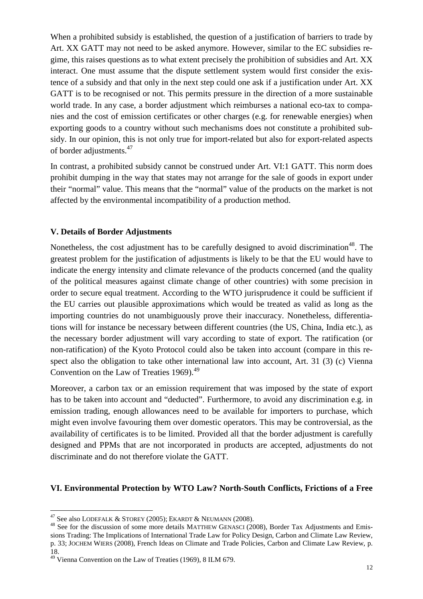When a prohibited subsidy is established, the question of a justification of barriers to trade by Art. XX GATT may not need to be asked anymore. However, similar to the EC subsidies regime, this raises questions as to what extent precisely the prohibition of subsidies and Art. XX interact. One must assume that the dispute settlement system would first consider the existence of a subsidy and that only in the next step could one ask if a justification under Art. XX GATT is to be recognised or not. This permits pressure in the direction of a more sustainable world trade. In any case, a border adjustment which reimburses a national eco-tax to companies and the cost of emission certificates or other charges (e.g. for renewable energies) when exporting goods to a country without such mechanisms does not constitute a prohibited subsidy. In our opinion, this is not only true for import-related but also for export-related aspects of border adjustments.<sup>47</sup>

In contrast, a prohibited subsidy cannot be construed under Art. VI:1 GATT. This norm does prohibit dumping in the way that states may not arrange for the sale of goods in export under their "normal" value. This means that the "normal" value of the products on the market is not affected by the environmental incompatibility of a production method.

### **V. Details of Border Adjustments**

Nonetheless, the cost adjustment has to be carefully designed to avoid discrimination<sup>48</sup>. The greatest problem for the justification of adjustments is likely to be that the EU would have to indicate the energy intensity and climate relevance of the products concerned (and the quality of the political measures against climate change of other countries) with some precision in order to secure equal treatment. According to the WTO jurisprudence it could be sufficient if the EU carries out plausible approximations which would be treated as valid as long as the importing countries do not unambiguously prove their inaccuracy. Nonetheless, differentiations will for instance be necessary between different countries (the US, China, India etc.), as the necessary border adjustment will vary according to state of export. The ratification (or non-ratification) of the Kyoto Protocol could also be taken into account (compare in this respect also the obligation to take other international law into account, Art. 31 (3) (c) Vienna Convention on the Law of Treaties 1969).<sup>49</sup>

Moreover, a carbon tax or an emission requirement that was imposed by the state of export has to be taken into account and "deducted". Furthermore, to avoid any discrimination e.g. in emission trading, enough allowances need to be available for importers to purchase, which might even involve favouring them over domestic operators. This may be controversial, as the availability of certificates is to be limited. Provided all that the border adjustment is carefully designed and PPMs that are not incorporated in products are accepted, adjustments do not discriminate and do not therefore violate the GATT.

#### **VI. Environmental Protection by WTO Law? North-South Conflicts, Frictions of a Free**

 $^{47}$  See also LODEFALK & STOREY (2005); EKARDT & NEUMANN (2008).

<sup>&</sup>lt;sup>48</sup> See for the discussion of some more details MATTHEW GENASCI (2008), Border Tax Adjustments and Emissions Trading: The Implications of International Trade Law for Policy Design, Carbon and Climate Law Review, p. 33; JOCHEM WIERS (2008), French Ideas on Climate and Trade Policies, Carbon and Climate Law Review, p. 18.

<sup>49</sup> Vienna Convention on the Law of Treaties (1969), 8 ILM 679.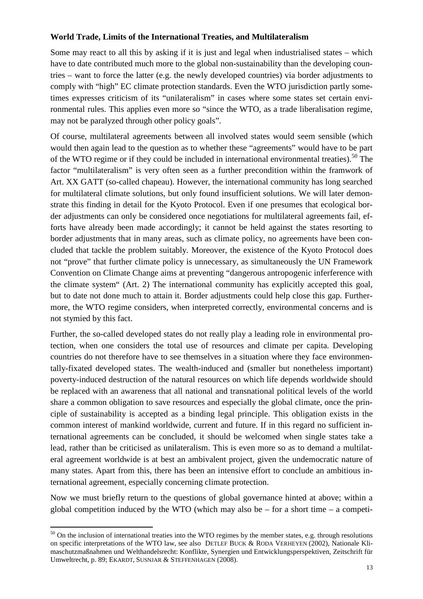## **World Trade, Limits of the International Treaties, and Multilateralism**

Some may react to all this by asking if it is just and legal when industrialised states – which have to date contributed much more to the global non-sustainability than the developing countries – want to force the latter (e.g. the newly developed countries) via border adjustments to comply with "high" EC climate protection standards. Even the WTO jurisdiction partly sometimes expresses criticism of its "unilateralism" in cases where some states set certain environmental rules. This applies even more so "since the WTO, as a trade liberalisation regime, may not be paralyzed through other policy goals".

Of course, multilateral agreements between all involved states would seem sensible (which would then again lead to the question as to whether these "agreements" would have to be part of the WTO regime or if they could be included in international environmental treaties).<sup>50</sup> The factor "multilateralism" is very often seen as a further precondition within the framwork of Art. XX GATT (so-called chapeau). However, the international community has long searched for multilateral climate solutions, but only found insufficient solutions. We will later demonstrate this finding in detail for the Kyoto Protocol. Even if one presumes that ecological border adjustments can only be considered once negotiations for multilateral agreements fail, efforts have already been made accordingly; it cannot be held against the states resorting to border adjustments that in many areas, such as climate policy, no agreements have been concluded that tackle the problem suitably. Moreover, the existence of the Kyoto Protocol does not "prove" that further climate policy is unnecessary, as simultaneously the UN Framework Convention on Climate Change aims at preventing "dangerous antropogenic inferference with the climate system" (Art. 2) The international community has explicitly accepted this goal, but to date not done much to attain it. Border adjustments could help close this gap. Furthermore, the WTO regime considers, when interpreted correctly, environmental concerns and is not stymied by this fact.

Further, the so-called developed states do not really play a leading role in environmental protection, when one considers the total use of resources and climate per capita. Developing countries do not therefore have to see themselves in a situation where they face environmentally-fixated developed states. The wealth-induced and (smaller but nonetheless important) poverty-induced destruction of the natural resources on which life depends worldwide should be replaced with an awareness that all national and transnational political levels of the world share a common obligation to save resources and especially the global climate, once the principle of sustainability is accepted as a binding legal principle. This obligation exists in the common interest of mankind worldwide, current and future. If in this regard no sufficient international agreements can be concluded, it should be welcomed when single states take a lead, rather than be criticised as unilateralism. This is even more so as to demand a multilateral agreement worldwide is at best an ambivalent project, given the undemocratic nature of many states. Apart from this, there has been an intensive effort to conclude an ambitious international agreement, especially concerning climate protection.

Now we must briefly return to the questions of global governance hinted at above; within a global competition induced by the WTO (which may also be – for a short time – a competi-

 $\overline{a}$  $50$  On the inclusion of international treaties into the WTO regimes by the member states, e.g. through resolutions on specific interpretations of the WTO law, see also DETLEF BUCK & RODA VERHEYEN (2002), Nationale Klimaschutzmaßnahmen und Welthandelsrecht: Konflikte, Synergien und Entwicklungsperspektiven, Zeitschrift für Umweltrecht, p. 89; EKARDT, SUSNJAR & STEFFENHAGEN (2008).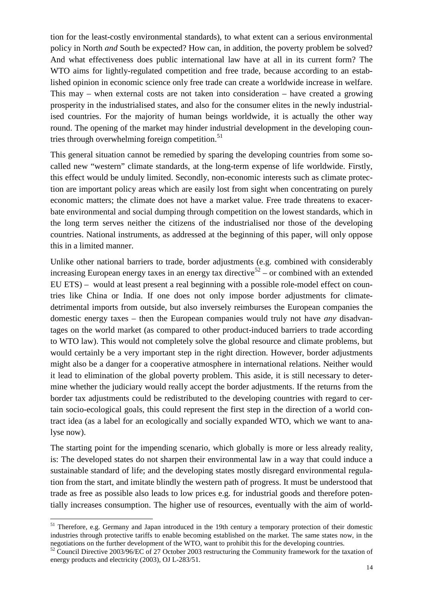tion for the least-costly environmental standards), to what extent can a serious environmental policy in North *and* South be expected? How can, in addition, the poverty problem be solved? And what effectiveness does public international law have at all in its current form? The WTO aims for lightly-regulated competition and free trade, because according to an established opinion in economic science only free trade can create a worldwide increase in welfare. This may – when external costs are not taken into consideration – have created a growing prosperity in the industrialised states, and also for the consumer elites in the newly industrialised countries. For the majority of human beings worldwide, it is actually the other way round. The opening of the market may hinder industrial development in the developing countries through overwhelming foreign competition. $51$ 

This general situation cannot be remedied by sparing the developing countries from some socalled new "western" climate standards, at the long-term expense of life worldwide. Firstly, this effect would be unduly limited. Secondly, non-economic interests such as climate protection are important policy areas which are easily lost from sight when concentrating on purely economic matters; the climate does not have a market value. Free trade threatens to exacerbate environmental and social dumping through competition on the lowest standards, which in the long term serves neither the citizens of the industrialised nor those of the developing countries. National instruments, as addressed at the beginning of this paper, will only oppose this in a limited manner.

Unlike other national barriers to trade, border adjustments (e.g. combined with considerably increasing European energy taxes in an energy tax directive<sup>52</sup> – or combined with an extended EU ETS) – would at least present a real beginning with a possible role-model effect on countries like China or India. If one does not only impose border adjustments for climatedetrimental imports from outside, but also inversely reimburses the European companies the domestic energy taxes – then the European companies would truly not have *any* disadvantages on the world market (as compared to other product-induced barriers to trade according to WTO law). This would not completely solve the global resource and climate problems, but would certainly be a very important step in the right direction. However, border adjustments might also be a danger for a cooperative atmosphere in international relations. Neither would it lead to elimination of the global poverty problem. This aside, it is still necessary to determine whether the judiciary would really accept the border adjustments. If the returns from the border tax adjustments could be redistributed to the developing countries with regard to certain socio-ecological goals, this could represent the first step in the direction of a world contract idea (as a label for an ecologically and socially expanded WTO, which we want to analyse now).

The starting point for the impending scenario, which globally is more or less already reality, is: The developed states do not sharpen their environmental law in a way that could induce a sustainable standard of life; and the developing states mostly disregard environmental regulation from the start, and imitate blindly the western path of progress. It must be understood that trade as free as possible also leads to low prices e.g. for industrial goods and therefore potentially increases consumption. The higher use of resources, eventually with the aim of world-

<sup>&</sup>lt;sup>51</sup> Therefore, e.g. Germany and Japan introduced in the 19th century a temporary protection of their domestic industries through protective tariffs to enable becoming established on the market. The same states now, in the negotiations on the further development of the WTO, want to prohibit this for the developing countries.

<sup>52</sup> Council Directive 2003/96/EC of 27 October 2003 restructuring the Community framework for the taxation of energy products and electricity (2003), OJ L-283/51.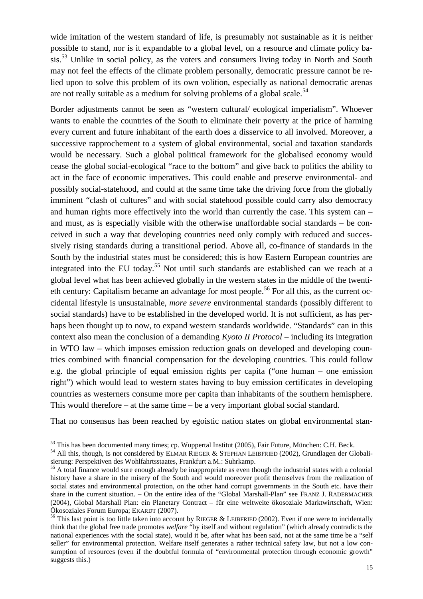wide imitation of the western standard of life, is presumably not sustainable as it is neither possible to stand, nor is it expandable to a global level, on a resource and climate policy basis.<sup>53</sup> Unlike in social policy, as the voters and consumers living today in North and South may not feel the effects of the climate problem personally, democratic pressure cannot be relied upon to solve this problem of its own volition, especially as national democratic arenas are not really suitable as a medium for solving problems of a global scale.<sup>54</sup>

Border adjustments cannot be seen as "western cultural/ ecological imperialism". Whoever wants to enable the countries of the South to eliminate their poverty at the price of harming every current and future inhabitant of the earth does a disservice to all involved. Moreover, a successive rapprochement to a system of global environmental, social and taxation standards would be necessary. Such a global political framework for the globalised economy would cease the global social-ecological "race to the bottom" and give back to politics the ability to act in the face of economic imperatives. This could enable and preserve environmental- and possibly social-statehood, and could at the same time take the driving force from the globally imminent "clash of cultures" and with social statehood possible could carry also democracy and human rights more effectively into the world than currently the case. This system can – and must, as is especially visible with the otherwise unaffordable social standards – be conceived in such a way that developing countries need only comply with reduced and successively rising standards during a transitional period. Above all, co-finance of standards in the South by the industrial states must be considered; this is how Eastern European countries are integrated into the EU today.<sup>55</sup> Not until such standards are established can we reach at a global level what has been achieved globally in the western states in the middle of the twentieth century: Capitalism became an advantage for most people.<sup>56</sup> For all this, as the current occidental lifestyle is unsustainable, *more severe* environmental standards (possibly different to social standards) have to be established in the developed world. It is not sufficient, as has perhaps been thought up to now, to expand western standards worldwide. "Standards" can in this context also mean the conclusion of a demanding *Kyoto II Protocol* – including its integration in WTO law – which imposes emission reduction goals on developed and developing countries combined with financial compensation for the developing countries. This could follow e.g. the global principle of equal emission rights per capita ("one human – one emission right") which would lead to western states having to buy emission certificates in developing countries as westerners consume more per capita than inhabitants of the southern hemisphere. This would therefore – at the same time – be a very important global social standard.

That no consensus has been reached by egoistic nation states on global environmental stan-

<sup>&</sup>lt;sup>53</sup> This has been documented many times; cp. Wuppertal Institut (2005), Fair Future, München: C.H. Beck.

<sup>&</sup>lt;sup>54</sup> All this, though, is not considered by ELMAR RIEGER & STEPHAN LEIBFRIED (2002), Grundlagen der Globalisierung: Perspektiven des Wohlfahrtsstaates, Frankfurt a.M.: Suhrkamp.

<sup>&</sup>lt;sup>55</sup> A total finance would sure enough already be inappropriate as even though the industrial states with a colonial history have a share in the misery of the South and would moreover profit themselves from the realization of social states and environmental protection, on the other hand corrupt governments in the South etc. have their share in the current situation. – On the entire idea of the "Global Marshall-Plan" see FRANZ J. RADERMACHER (2004), Global Marshall Plan: ein Planetary Contract – für eine weltweite ökosoziale Marktwirtschaft, Wien: Ökosoziales Forum Europa; EKARDT (2007).

<sup>&</sup>lt;sup>56</sup> This last point is too little taken into account by RIEGER & LEIBFRIED (2002). Even if one were to incidentally think that the global free trade promotes *welfare* "by itself and without regulation" (which already contradicts the national experiences with the social state), would it be, after what has been said, not at the same time be a "self seller" for environmental protection. Welfare itself generates a rather technical safety law, but not a low consumption of resources (even if the doubtful formula of "environmental protection through economic growth" suggests this.)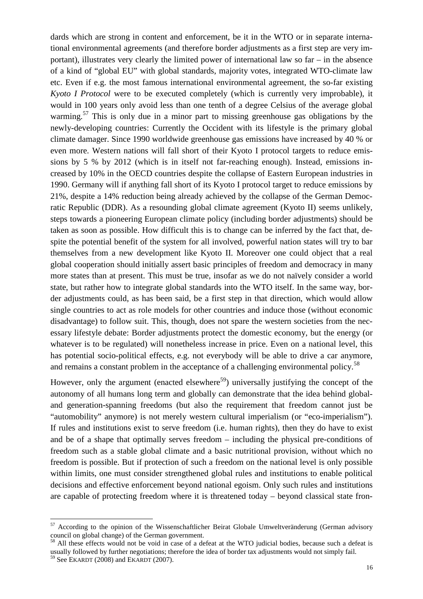dards which are strong in content and enforcement, be it in the WTO or in separate international environmental agreements (and therefore border adjustments as a first step are very important), illustrates very clearly the limited power of international law so far – in the absence of a kind of "global EU" with global standards, majority votes, integrated WTO-climate law etc. Even if e.g. the most famous international environmental agreement, the so-far existing *Kyoto I Protocol* were to be executed completely (which is currently very improbable), it would in 100 years only avoid less than one tenth of a degree Celsius of the average global warming.<sup>57</sup> This is only due in a minor part to missing greenhouse gas obligations by the newly-developing countries: Currently the Occident with its lifestyle is the primary global climate damager. Since 1990 worldwide greenhouse gas emissions have increased by 40 % or even more. Western nations will fall short of their Kyoto I protocol targets to reduce emissions by 5 % by 2012 (which is in itself not far-reaching enough). Instead, emissions increased by 10% in the OECD countries despite the collapse of Eastern European industries in 1990. Germany will if anything fall short of its Kyoto I protocol target to reduce emissions by 21%, despite a 14% reduction being already achieved by the collapse of the German Democratic Republic (DDR). As a resounding global climate agreement (Kyoto II) seems unlikely, steps towards a pioneering European climate policy (including border adjustments) should be taken as soon as possible. How difficult this is to change can be inferred by the fact that, despite the potential benefit of the system for all involved, powerful nation states will try to bar themselves from a new development like Kyoto II. Moreover one could object that a real global cooperation should initially assert basic principles of freedom and democracy in many more states than at present. This must be true, insofar as we do not naïvely consider a world state, but rather how to integrate global standards into the WTO itself. In the same way, border adjustments could, as has been said, be a first step in that direction, which would allow single countries to act as role models for other countries and induce those (without economic disadvantage) to follow suit. This, though, does not spare the western societies from the necessary lifestyle debate: Border adjustments protect the domestic economy, but the energy (or whatever is to be regulated) will nonetheless increase in price. Even on a national level, this has potential socio-political effects, e.g. not everybody will be able to drive a car anymore, and remains a constant problem in the acceptance of a challenging environmental policy.<sup>58</sup>

However, only the argument (enacted elsewhere<sup>59</sup>) universally justifying the concept of the autonomy of all humans long term and globally can demonstrate that the idea behind globaland generation-spanning freedoms (but also the requirement that freedom cannot just be "automobility" anymore) is not merely western cultural imperialism (or "eco-imperialism"). If rules and institutions exist to serve freedom (i.e. human rights), then they do have to exist and be of a shape that optimally serves freedom – including the physical pre-conditions of freedom such as a stable global climate and a basic nutritional provision, without which no freedom is possible. But if protection of such a freedom on the national level is only possible within limits, one must consider strengthened global rules and institutions to enable political decisions and effective enforcement beyond national egoism. Only such rules and institutions are capable of protecting freedom where it is threatened today – beyond classical state fron-

 $57$  According to the opinion of the Wissenschaftlicher Beirat Globale Umweltveränderung (German advisory council on global change) of the German government.

<sup>&</sup>lt;sup>58</sup> All these effects would not be void in case of a defeat at the WTO judicial bodies, because such a defeat is usually followed by further negotiations; therefore the idea of border tax adjustments would not simply fail. <sup>59</sup> See EKARDT (2008) and EKARDT (2007).